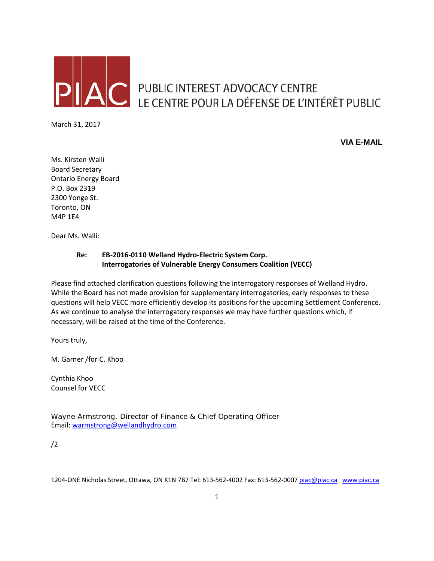

AC PUBLIC INTEREST ADVOCACY CENTRE<br>LE CENTRE POUR LA DÉFENSE DE L'INTÉRÊT PUBLIC

March 31, 2017

**VIA E-MAIL**

Ms. Kirsten Walli Board Secretary Ontario Energy Board P.O. Box 2319 2300 Yonge St. Toronto, ON M4P 1E4

Dear Ms. Walli:

#### **Re: EB-2016-0110 Welland Hydro-Electric System Corp. Interrogatories of Vulnerable Energy Consumers Coalition (VECC)**

Please find attached clarification questions following the interrogatory responses of Welland Hydro. While the Board has not made provision for supplementary interrogatories, early responses to these questions will help VECC more efficiently develop its positions for the upcoming Settlement Conference. As we continue to analyse the interrogatory responses we may have further questions which, if necessary, will be raised at the time of the Conference.

Yours truly,

M. Garner /for C. Khoo

Cynthia Khoo Counsel for VECC

Wayne Armstrong, Director of Finance & Chief Operating Officer Email: [warmstrong@wellandhydro.com](mailto:warmstrong@wellandhydro.com)

/2

1204-ONE Nicholas Street, Ottawa, ON K1N 7B7 Tel: 613-562-4002 Fax: 613-562-000[7 piac@piac.ca](mailto:piac@piac.ca) [www.piac.ca](http://www.piac.ca/)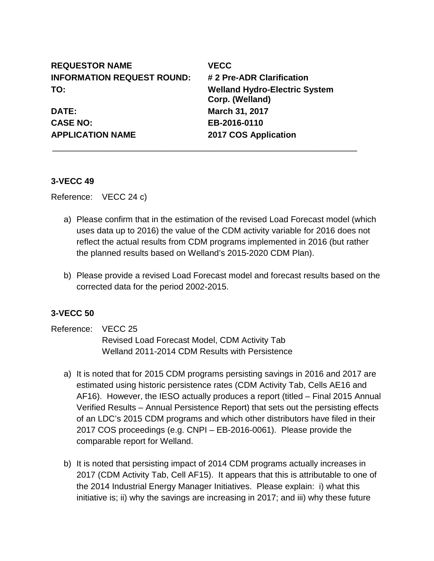| <b>REQUESTOR NAME</b>             | <b>VECC</b>                                             |
|-----------------------------------|---------------------------------------------------------|
| <b>INFORMATION REQUEST ROUND:</b> | # 2 Pre-ADR Clarification                               |
| TO:                               | <b>Welland Hydro-Electric System</b><br>Corp. (Welland) |
| <b>DATE:</b>                      | March 31, 2017                                          |
| <b>CASE NO:</b>                   | EB-2016-0110                                            |
| <b>APPLICATION NAME</b>           | 2017 COS Application                                    |
|                                   |                                                         |

### **3-VECC 49**

Reference: VECC 24 c)

- a) Please confirm that in the estimation of the revised Load Forecast model (which uses data up to 2016) the value of the CDM activity variable for 2016 does not reflect the actual results from CDM programs implemented in 2016 (but rather the planned results based on Welland's 2015-2020 CDM Plan).
- b) Please provide a revised Load Forecast model and forecast results based on the corrected data for the period 2002-2015.

### **3-VECC 50**

- Reference: VECC 25 Revised Load Forecast Model, CDM Activity Tab Welland 2011-2014 CDM Results with Persistence
	- a) It is noted that for 2015 CDM programs persisting savings in 2016 and 2017 are estimated using historic persistence rates (CDM Activity Tab, Cells AE16 and AF16). However, the IESO actually produces a report (titled – Final 2015 Annual Verified Results – Annual Persistence Report) that sets out the persisting effects of an LDC's 2015 CDM programs and which other distributors have filed in their 2017 COS proceedings (e.g. CNPI – EB-2016-0061). Please provide the comparable report for Welland.
	- b) It is noted that persisting impact of 2014 CDM programs actually increases in 2017 (CDM Activity Tab, Cell AF15). It appears that this is attributable to one of the 2014 Industrial Energy Manager Initiatives. Please explain: i) what this initiative is; ii) why the savings are increasing in 2017; and iii) why these future